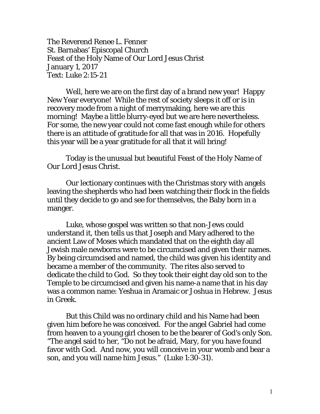The Reverend Renee L. Fenner St. Barnabas' Episcopal Church Feast of the Holy Name of Our Lord Jesus Christ January 1, 2017 Text: Luke 2:15-21

 Well, here we are on the first day of a brand new year! Happy New Year everyone! While the rest of society sleeps it off or is in recovery mode from a night of merrymaking, here we are this morning! Maybe a little blurry-eyed but we are here nevertheless. For some, the new year could not come fast enough while for others there is an attitude of gratitude for all that was in 2016. Hopefully this year will be a year gratitude for all that it will bring!

Today is the unusual but beautiful Feast of the Holy Name of Our Lord Jesus Christ.

Our lectionary continues with the Christmas story with angels leaving the shepherds who had been watching their flock in the fields until they decide to go and see for themselves, the Baby born in a manger.

Luke, whose gospel was written so that non-Jews could understand it, then tells us that Joseph and Mary adhered to the ancient Law of Moses which mandated that on the eighth day all Jewish male newborns were to be circumcised and given their names. By being circumcised and named, the child was given his identity and became a member of the community. The rites also served to dedicate the child to God. So they took their eight day old son to the Temple to be circumcised and given his name-a name that in his day was a common name: Yeshua in Aramaic or Joshua in Hebrew. Jesus in Greek.

But this Child was no ordinary child and his Name had been given him before he was conceived. For the angel Gabriel had come from heaven to a young girl chosen to be the bearer of God's only Son. "The angel said to her, "Do not be afraid, Mary, for you have found favor with God. And now, you will conceive in your womb and bear a son, and you will name him Jesus." (Luke 1:30-31).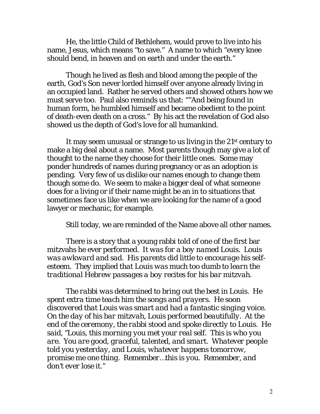He, the little Child of Bethlehem, would prove to live into his name, Jesus, which means "to save." A name to which "every knee should bend, in heaven and on earth and under the earth."

Though he lived as flesh and blood among the people of the earth, God's Son never lorded himself over anyone already living in an occupied land. Rather he served others and showed others how we must serve too. Paul also reminds us that: ""And being found in human form, he humbled himself and became obedient to the point of death-even death on a cross." By his act the revelation of God also showed us the depth of God's love for all humankind.

It may seem unusual or strange to us living in the 21st century to make a big deal about a name. Most parents though may give a lot of thought to the name they choose for their little ones. Some may ponder hundreds of names during pregnancy or as an adoption is pending. Very few of us dislike our names enough to change them though some do. We seem to make a bigger deal of what someone does for a living or if their name might be an in to situations that sometimes face us like when we are looking for the name of a good lawyer or mechanic, for example.

Still today, we are reminded of the Name above all other names.

There is a story that a young rabbi told of one of the first bar mitzvahs he ever performed. *It was for a boy named Louis. Louis was awkward and sad. His parents did little to encourage his selfesteem. They implied that Louis was much too dumb to learn the traditional Hebrew passages a boy recites for his bar mitzvah.*

*The rabbi was determined to bring out the best in Louis. He spent extra time teach him the songs and prayers. He soon discovered that Louis was smart and had a fantastic singing voice. On the day of his bar mitzvah, Louis performed beautifully. At the end of the ceremony, the rabbi stood and spoke directly to Louis. He said, "Louis, this morning you met your real self. This is who you are. You are good, graceful, talented, and smart. Whatever people told you yesterday, and Louis, whatever happens tomorrow, promise me one thing. Remember…this is you. Remember, and don't ever lose it."*